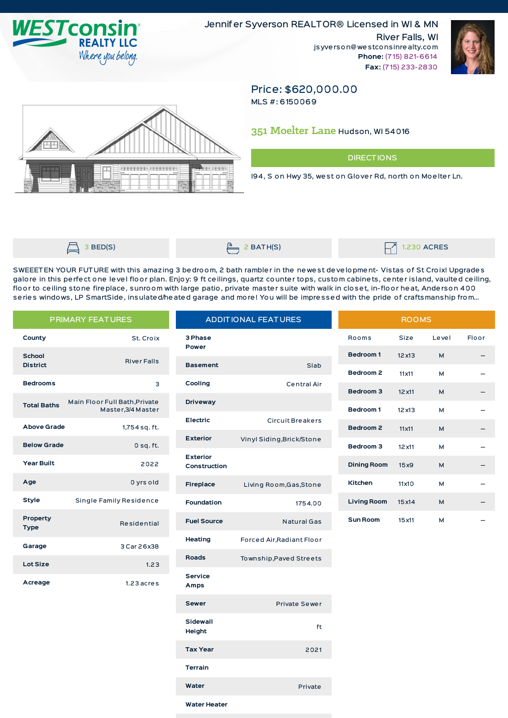

Jennifer Syverson REALTOR® Licensed in WI & MN **River Falls, WI** jsyverson@westconsinrealty.com Phone: (715) 821-6614 Fax: (715) 233-2830



## Price: \$620,000.00

MLS #: 6150069

## 351 Moelter Lane Hudson, WI 54016

## **DIRECTIONS**

194, S on Hwy 35, west on Glover Rd, north on Moelter Ln.



 $3$  BED(S)

 $2$  BATH(S)

**1.230 ACRES** 

SWEEETEN YOUR FUTURE with this amazing 3 bedroom, 2 bath rambler in the newest development- Vistas of St Croix! Upgrades galore in this perfect one level floor plan. Enjoy: 9 ft ceilings, quartz counter tops, custom cabinets, center island, vaulted ceiling, floor to ceiling stone fireplace, sunroom with large patio, private master suite with walk in closet, in-floor heat, Anderson 400 series windows, LP SmartSide, insulated/heated garage and more! You will be impressed with the pride of craftsmanship from...

| <b>PRIMARY FEATURES</b> |                                                     | <b>ADDITIONAL FEATURES</b> |                           | <b>ROOMS</b>       |                |       |       |
|-------------------------|-----------------------------------------------------|----------------------------|---------------------------|--------------------|----------------|-------|-------|
| County                  | St. Croix                                           | 3 Phase<br>Power           |                           | Rooms              | <b>Size</b>    | Level | Floor |
| <b>School</b>           | <b>River Falls</b>                                  |                            |                           | <b>Bedroom1</b>    | $12 \times 13$ | M     |       |
| <b>District</b>         |                                                     | <b>Basement</b>            | Slab                      | Bedroom 2          | 11x11          | М     |       |
| <b>Bedrooms</b>         | 3                                                   | Cooling                    | <b>Central Air</b>        | Bedroom 3          | $12 \times 11$ | M     |       |
| <b>Total Baths</b>      | Main Floor Full Bath, Private<br>Master, 3/4 Master | <b>Driveway</b>            |                           | Bedroom 1          | $12 \times 13$ | М     |       |
| <b>Above Grade</b>      | 1,754 sq. ft.                                       | <b>Electric</b>            | Circuit Breakers          | Bedroom 2          | 11x11          | M     |       |
| <b>Below Grade</b>      |                                                     | <b>Exterior</b>            | Vinyl Siding, Brick/Stone |                    |                |       |       |
|                         | $0$ sq. ft.                                         | <b>Exterior</b>            |                           | Bedroom 3          | $12 \times 11$ | М     |       |
| <b>Year Built</b>       | 2022                                                | Construction               |                           | <b>Dining Room</b> | 15x9           | M     |       |
| Age                     | 0 yrs old                                           | Fireplace                  | Living Room, Gas, Stone   | Kitchen            | 11x10          | М     |       |
| <b>Style</b>            | Single Family Residence                             | <b>Foundation</b>          | 1754.00                   | <b>Living Room</b> | 15x14          | M     |       |
| Property<br><b>Type</b> | Residential                                         | <b>Fuel Source</b>         | <b>Natural Gas</b>        | <b>Sun Room</b>    | 15 x 11        | М     |       |
| Garage                  | 3 Car 26x38                                         | Heating                    | Forced Air, Radiant Floor |                    |                |       |       |
| <b>Lot Size</b>         | 1.23                                                | <b>Roads</b>               | Township, Paved Streets   |                    |                |       |       |
|                         |                                                     | <b>Service</b>             |                           |                    |                |       |       |
| Acreage                 | $1.23$ acres                                        | Amps                       |                           |                    |                |       |       |

Sewer Private Sewer Sidewall ft Height **Tax Year** 2021 **Terrain** Water Private

| Water Heater |  |  |
|--------------|--|--|
|              |  |  |